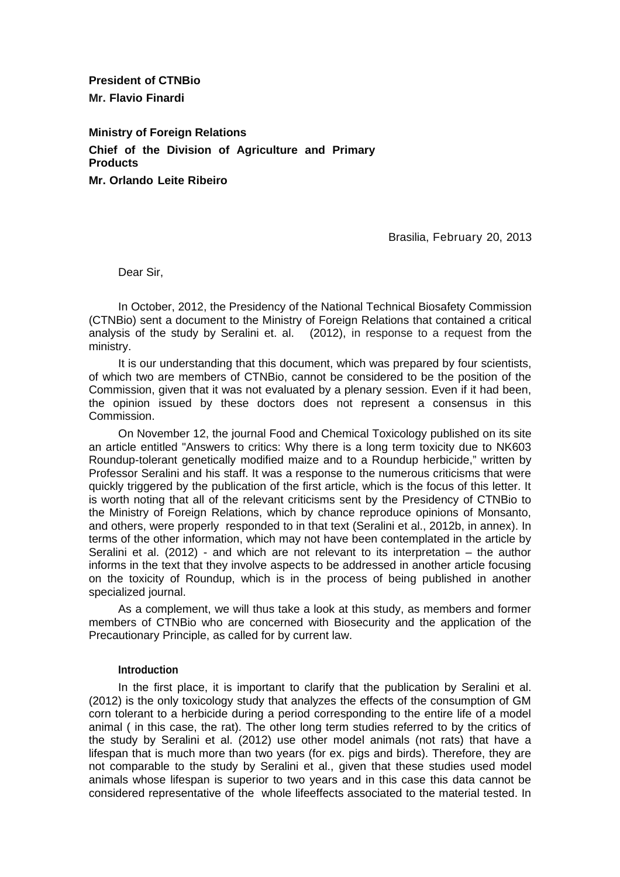**President of CTNBio Mr. Flavio Finardi**

**Ministry of Foreign Relations Chief of the Division of Agriculture and Primary Products Mr. Orlando Leite Ribeiro**

Brasilia, February 20, 2013

Dear Sir,

In October, 2012, the Presidency of the National Technical Biosafety Commission (CTNBio) sent a document to the Ministry of Foreign Relations that contained a critical analysis of the study by Seralini et. al. (2012), in response to a request from the ministry.

It is our understanding that this document, which was prepared by four scientists, of which two are members of CTNBio, cannot be considered to be the position of the Commission, given that it was not evaluated by a plenary session. Even if it had been, the opinion issued by these doctors does not represent a consensus in this Commission.

On November 12, the journal Food and Chemical Toxicology published on its site an article entitled "Answers to critics: Why there is a long term toxicity due to NK603 Roundup-tolerant genetically modified maize and to a Roundup herbicide," written by Professor Seralini and his staff. It was a response to the numerous criticisms that were quickly triggered by the publication of the first article, which is the focus of this letter. It is worth noting that all of the relevant criticisms sent by the Presidency of CTNBio to the Ministry of Foreign Relations, which by chance reproduce opinions of Monsanto, and others, were properly responded to in that text (Seralini et al., 2012b, in annex). In terms of the other information, which may not have been contemplated in the article by Seralini et al. (2012) - and which are not relevant to its interpretation – the author informs in the text that they involve aspects to be addressed in another article focusing on the toxicity of Roundup, which is in the process of being published in another specialized journal.

As a complement, we will thus take a look at this study, as members and former members of CTNBio who are concerned with Biosecurity and the application of the Precautionary Principle, as called for by current law.

### **Introduction**

In the first place, it is important to clarify that the publication by Seralini et al. (2012) is the only toxicology study that analyzes the effects of the consumption of GM corn tolerant to a herbicide during a period corresponding to the entire life of a model animal ( in this case, the rat). The other long term studies referred to by the critics of the study by Seralini et al. (2012) use other model animals (not rats) that have a lifespan that is much more than two years (for ex. pigs and birds). Therefore, they are not comparable to the study by Seralini et al., given that these studies used model animals whose lifespan is superior to two years and in this case this data cannot be considered representative of the whole lifeeffects associated to the material tested. In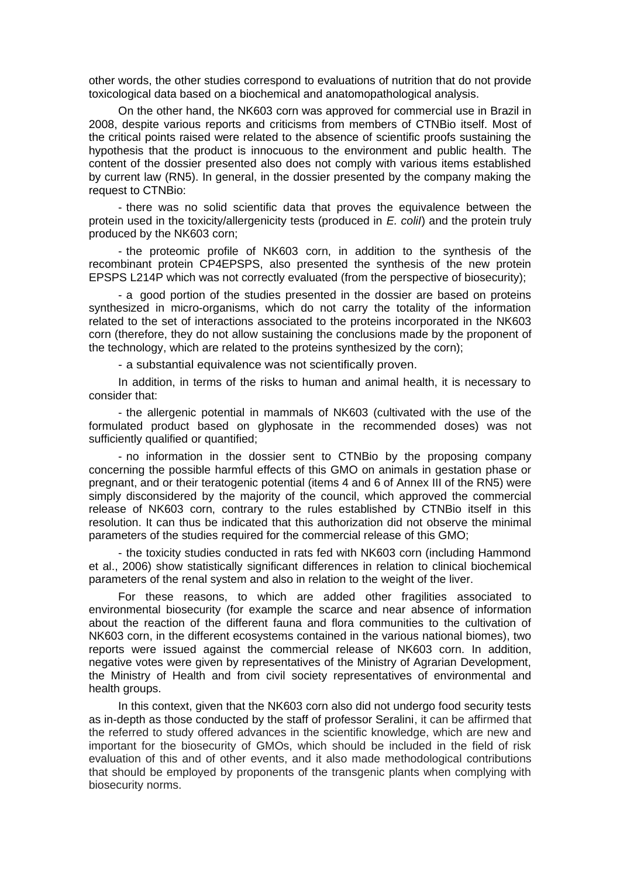other words, the other studies correspond to evaluations of nutrition that do not provide toxicological data based on a biochemical and anatomopathological analysis.

On the other hand, the NK603 corn was approved for commercial use in Brazil in 2008, despite various reports and criticisms from members of CTNBio itself. Most of the critical points raised were related to the absence of scientific proofs sustaining the hypothesis that the product is innocuous to the environment and public health. The content of the dossier presented also does not comply with various items established by current law (RN5). In general, in the dossier presented by the company making the request to CTNBio:

- there was no solid scientific data that proves the equivalence between the protein used in the toxicity/allergenicity tests (produced in *E. coliI*) and the protein truly produced by the NK603 corn;

- the proteomic profile of NK603 corn, in addition to the synthesis of the recombinant protein CP4EPSPS, also presented the synthesis of the new protein EPSPS L214P which was not correctly evaluated (from the perspective of biosecurity);

- a good portion of the studies presented in the dossier are based on proteins synthesized in micro-organisms, which do not carry the totality of the information related to the set of interactions associated to the proteins incorporated in the NK603 corn (therefore, they do not allow sustaining the conclusions made by the proponent of the technology, which are related to the proteins synthesized by the corn);

- a substantial equivalence was not scientifically proven.

In addition, in terms of the risks to human and animal health, it is necessary to consider that:

- the allergenic potential in mammals of NK603 (cultivated with the use of the formulated product based on glyphosate in the recommended doses) was not sufficiently qualified or quantified;

- no information in the dossier sent to CTNBio by the proposing company concerning the possible harmful effects of this GMO on animals in gestation phase or pregnant, and or their teratogenic potential (items 4 and 6 of Annex III of the RN5) were simply disconsidered by the majority of the council, which approved the commercial release of NK603 corn, contrary to the rules established by CTNBio itself in this resolution. It can thus be indicated that this authorization did not observe the minimal parameters of the studies required for the commercial release of this GMO;

- the toxicity studies conducted in rats fed with NK603 corn (including Hammond et al., 2006) show statistically significant differences in relation to clinical biochemical parameters of the renal system and also in relation to the weight of the liver.

For these reasons, to which are added other fragilities associated to environmental biosecurity (for example the scarce and near absence of information about the reaction of the different fauna and flora communities to the cultivation of NK603 corn, in the different ecosystems contained in the various national biomes), two reports were issued against the commercial release of NK603 corn. In addition, negative votes were given by representatives of the Ministry of Agrarian Development, the Ministry of Health and from civil society representatives of environmental and health groups.

In this context, given that the NK603 corn also did not undergo food security tests as in-depth as those conducted by the staff of professor Seralini, it can be affirmed that the referred to study offered advances in the scientific knowledge, which are new and important for the biosecurity of GMOs, which should be included in the field of risk evaluation of this and of other events, and it also made methodological contributions that should be employed by proponents of the transgenic plants when complying with biosecurity norms.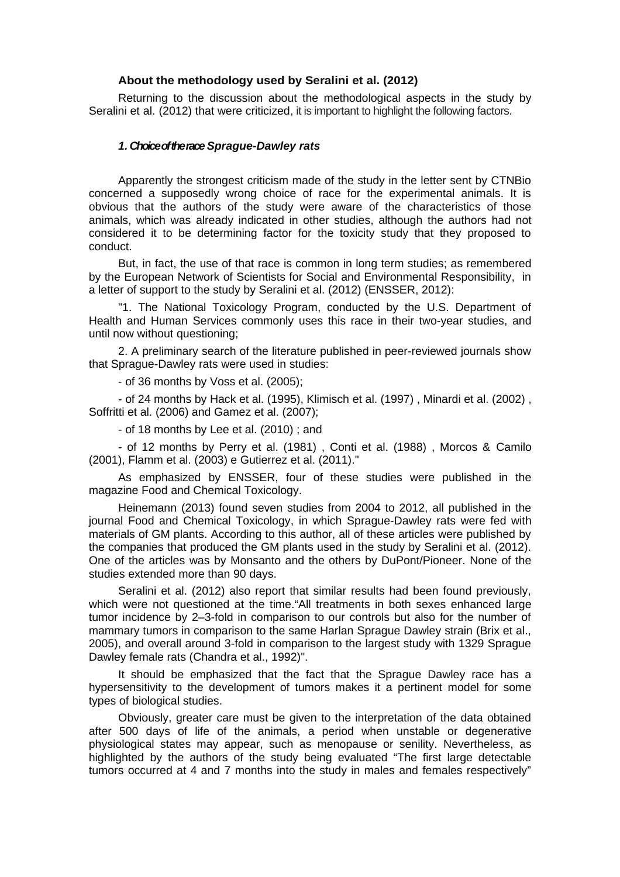## **About the methodology used by Seralini et al. (2012)**

Returning to the discussion about the methodological aspects in the study by Seralini et al. (2012) that were criticized, it is important to highlight the following factors.

### *1. Choice of the race Sprague-Dawley rats*

Apparently the strongest criticism made of the study in the letter sent by CTNBio concerned a supposedly wrong choice of race for the experimental animals. It is obvious that the authors of the study were aware of the characteristics of those animals, which was already indicated in other studies, although the authors had not considered it to be determining factor for the toxicity study that they proposed to conduct.

But, in fact, the use of that race is common in long term studies; as remembered by the European Network of Scientists for Social and Environmental Responsibility, in a letter of support to the study by Seralini et al. (2012) (ENSSER, 2012):

"1. The National Toxicology Program, conducted by the U.S. Department of Health and Human Services commonly uses this race in their two-year studies, and until now without questioning;

2. A preliminary search of the literature published in peer-reviewed journals show that Sprague-Dawley rats were used in studies:

- of 36 months by Voss et al. (2005);

- of 24 months by Hack et al. (1995), Klimisch et al. (1997) , Minardi et al. (2002) , Soffritti et al. (2006) and Gamez et al. (2007);

- of 18 months by Lee et al. (2010) ; and

- of 12 months by Perry et al. (1981) , Conti et al. (1988) , Morcos & Camilo (2001), Flamm et al. (2003) e Gutierrez et al. (2011)."

As emphasized by ENSSER, four of these studies were published in the magazine Food and Chemical Toxicology.

Heinemann (2013) found seven studies from 2004 to 2012, all published in the journal Food and Chemical Toxicology, in which Sprague-Dawley rats were fed with materials of GM plants. According to this author, all of these articles were published by the companies that produced the GM plants used in the study by Seralini et al. (2012). One of the articles was by Monsanto and the others by DuPont/Pioneer. None of the studies extended more than 90 days.

Seralini et al. (2012) also report that similar results had been found previously, which were not questioned at the time."All treatments in both sexes enhanced large tumor incidence by 2–3-fold in comparison to our controls but also for the number of mammary tumors in comparison to the same Harlan Sprague Dawley strain (Brix et al., 2005), and overall around 3-fold in comparison to the largest study with 1329 Sprague Dawley female rats (Chandra et al., 1992)".

It should be emphasized that the fact that the Sprague Dawley race has a hypersensitivity to the development of tumors makes it a pertinent model for some types of biological studies.

Obviously, greater care must be given to the interpretation of the data obtained after 500 days of life of the animals, a period when unstable or degenerative physiological states may appear, such as menopause or senility. Nevertheless, as highlighted by the authors of the study being evaluated "The first large detectable tumors occurred at 4 and 7 months into the study in males and females respectively"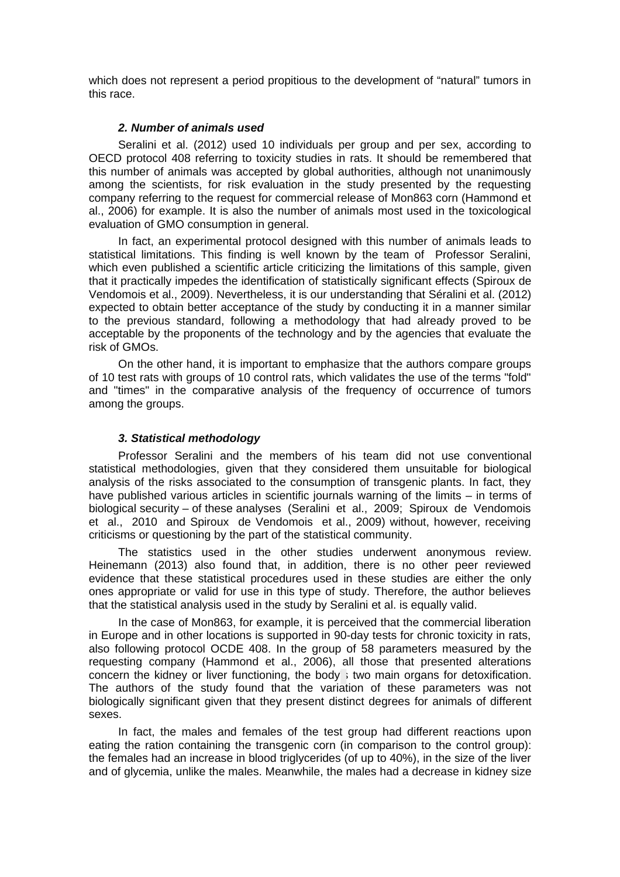which does not represent a period propitious to the development of "natural" tumors in this race.

# *2. Number of animals used*

Seralini et al. (2012) used 10 individuals per group and per sex, according to OECD protocol 408 referring to toxicity studies in rats. It should be remembered that this number of animals was accepted by global authorities, although not unanimously among the scientists, for risk evaluation in the study presented by the requesting company referring to the request for commercial release of Mon863 corn (Hammond et al., 2006) for example. It is also the number of animals most used in the toxicological evaluation of GMO consumption in general.

In fact, an experimental protocol designed with this number of animals leads to statistical limitations. This finding is well known by the team of Professor Seralini, which even published a scientific article criticizing the limitations of this sample, given that it practically impedes the identification of statistically significant effects (Spiroux de Vendomois et al., 2009). Nevertheless, it is our understanding that Séralini et al. (2012) expected to obtain better acceptance of the study by conducting it in a manner similar to the previous standard, following a methodology that had already proved to be acceptable by the proponents of the technology and by the agencies that evaluate the risk of GMOs.

On the other hand, it is important to emphasize that the authors compare groups of 10 test rats with groups of 10 control rats, which validates the use of the terms "fold" and "times" in the comparative analysis of the frequency of occurrence of tumors among the groups.

# *3. Statistical methodology*

Professor Seralini and the members of his team did not use conventional statistical methodologies, given that they considered them unsuitable for biological analysis of the risks associated to the consumption of transgenic plants. In fact, they have published various articles in scientific journals warning of the limits – in terms of biological security – of these analyses (Seralini et al., 2009; Spiroux de Vendomois et al., 2010 and Spiroux de Vendomois et al., 2009) without, however, receiving criticisms or questioning by the part of the statistical community.

The statistics used in the other studies underwent anonymous review. Heinemann (2013) also found that, in addition, there is no other peer reviewed evidence that these statistical procedures used in these studies are either the only ones appropriate or valid for use in this type of study. Therefore, the author believes that the statistical analysis used in the study by Seralini et al. is equally valid.

In the case of Mon863, for example, it is perceived that the commercial liberation in Europe and in other locations is supported in 90-day tests for chronic toxicity in rats, also following protocol OCDE 408. In the group of 58 parameters measured by the requesting company (Hammond et al., 2006), all those that presented alterations concern the kidney or liver functioning, the body's two main organs for detoxification. The authors of the study found that the variation of these parameters was not biologically significant given that they present distinct degrees for animals of different sexes.

In fact, the males and females of the test group had different reactions upon eating the ration containing the transgenic corn (in comparison to the control group): the females had an increase in blood triglycerides (of up to 40%), in the size of the liver and of glycemia, unlike the males. Meanwhile, the males had a decrease in kidney size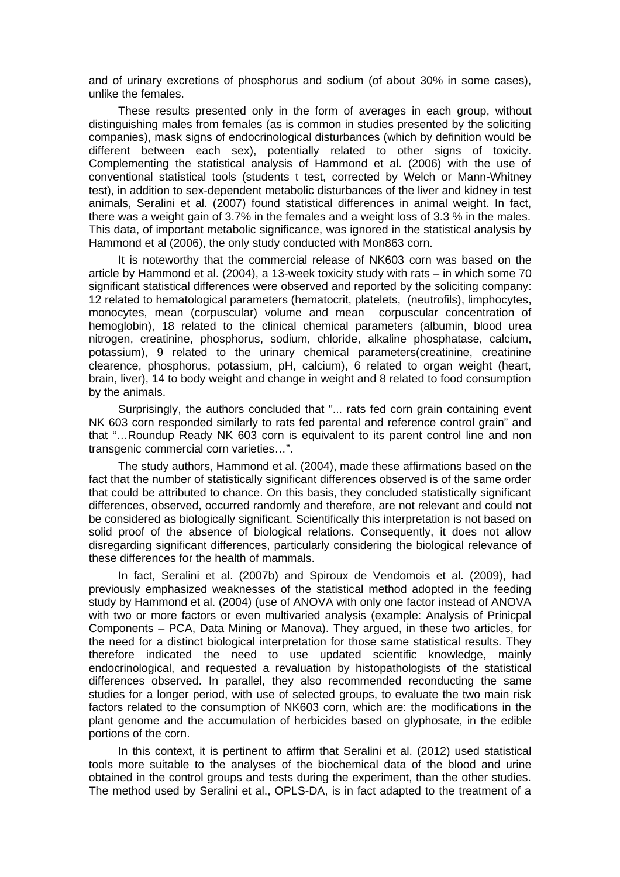and of urinary excretions of phosphorus and sodium (of about 30% in some cases), unlike the females.

These results presented only in the form of averages in each group, without distinguishing males from females (as is common in studies presented by the soliciting companies), mask signs of endocrinological disturbances (which by definition would be different between each sex), potentially related to other signs of toxicity. Complementing the statistical analysis of Hammond et al. (2006) with the use of conventional statistical tools (students t test, corrected by Welch or Mann-Whitney test), in addition to sex-dependent metabolic disturbances of the liver and kidney in test animals, Seralini et al. (2007) found statistical differences in animal weight. In fact, there was a weight gain of 3.7% in the females and a weight loss of 3.3 % in the males. This data, of important metabolic significance, was ignored in the statistical analysis by Hammond et al (2006), the only study conducted with Mon863 corn.

It is noteworthy that the commercial release of NK603 corn was based on the article by Hammond et al. (2004), a 13-week toxicity study with rats – in which some 70 significant statistical differences were observed and reported by the soliciting company: 12 related to hematological parameters (hematocrit, platelets, (neutrofils), limphocytes, monocytes, mean (corpuscular) volume and mean corpuscular concentration of hemoglobin), 18 related to the clinical chemical parameters (albumin, blood urea nitrogen, creatinine, phosphorus, sodium, chloride, alkaline phosphatase, calcium, potassium), 9 related to the urinary chemical parameters(creatinine, creatinine clearence, phosphorus, potassium, pH, calcium), 6 related to organ weight (heart, brain, liver), 14 to body weight and change in weight and 8 related to food consumption by the animals.

Surprisingly, the authors concluded that "... rats fed corn grain containing event NK 603 corn responded similarly to rats fed parental and reference control grain" and that "…Roundup Ready NK 603 corn is equivalent to its parent control line and non transgenic commercial corn varieties…".

The study authors, Hammond et al. (2004), made these affirmations based on the fact that the number of statistically significant differences observed is of the same order that could be attributed to chance. On this basis, they concluded statistically significant differences, observed, occurred randomly and therefore, are not relevant and could not be considered as biologically significant. Scientifically this interpretation is not based on solid proof of the absence of biological relations. Consequently, it does not allow disregarding significant differences, particularly considering the biological relevance of these differences for the health of mammals.

In fact, Seralini et al. (2007b) and Spiroux de Vendomois et al. (2009), had previously emphasized weaknesses of the statistical method adopted in the feeding study by Hammond et al. (2004) (use of ANOVA with only one factor instead of ANOVA with two or more factors or even multivaried analysis (example: Analysis of Prinicpal Components – PCA, Data Mining or Manova). They argued, in these two articles, for the need for a distinct biological interpretation for those same statistical results. They therefore indicated the need to use updated scientific knowledge, mainly endocrinological, and requested a revaluation by histopathologists of the statistical differences observed. In parallel, they also recommended reconducting the same studies for a longer period, with use of selected groups, to evaluate the two main risk factors related to the consumption of NK603 corn, which are: the modifications in the plant genome and the accumulation of herbicides based on glyphosate, in the edible portions of the corn.

In this context, it is pertinent to affirm that Seralini et al. (2012) used statistical tools more suitable to the analyses of the biochemical data of the blood and urine obtained in the control groups and tests during the experiment, than the other studies. The method used by Seralini et al., OPLS-DA, is in fact adapted to the treatment of a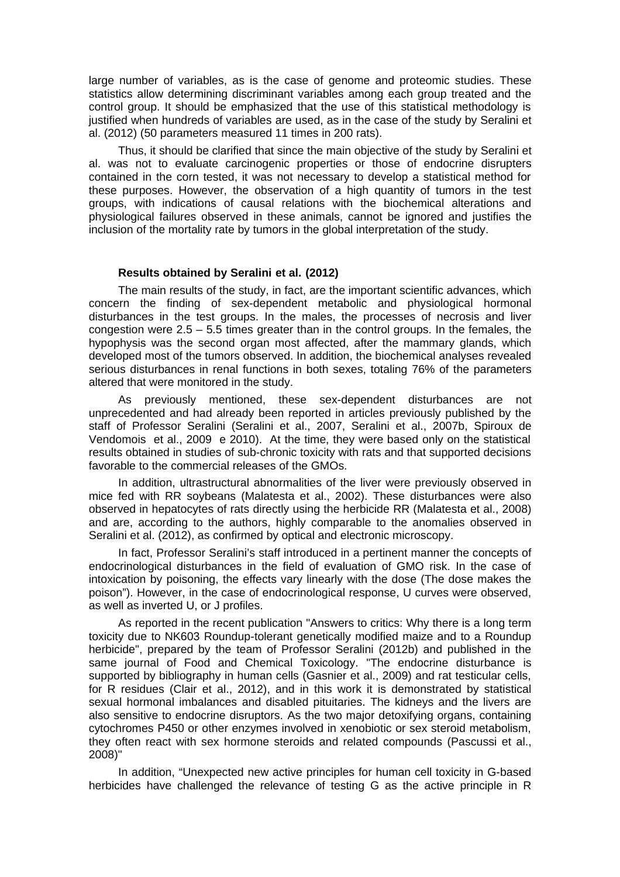large number of variables, as is the case of genome and proteomic studies. These statistics allow determining discriminant variables among each group treated and the control group. It should be emphasized that the use of this statistical methodology is justified when hundreds of variables are used, as in the case of the study by Seralini et al. (2012) (50 parameters measured 11 times in 200 rats).

Thus, it should be clarified that since the main objective of the study by Seralini et al. was not to evaluate carcinogenic properties or those of endocrine disrupters contained in the corn tested, it was not necessary to develop a statistical method for these purposes. However, the observation of a high quantity of tumors in the test groups, with indications of causal relations with the biochemical alterations and physiological failures observed in these animals, cannot be ignored and justifies the inclusion of the mortality rate by tumors in the global interpretation of the study.

## **Results obtained by Seralini et al. (2012)**

The main results of the study, in fact, are the important scientific advances, which concern the finding of sex-dependent metabolic and physiological hormonal disturbances in the test groups. In the males, the processes of necrosis and liver congestion were  $2.5 - 5.5$  times greater than in the control groups. In the females, the hypophysis was the second organ most affected, after the mammary glands, which developed most of the tumors observed. In addition, the biochemical analyses revealed serious disturbances in renal functions in both sexes, totaling 76% of the parameters altered that were monitored in the study.

As previously mentioned, these sex-dependent disturbances are not unprecedented and had already been reported in articles previously published by the staff of Professor Seralini (Seralini et al., 2007, Seralini et al., 2007b, Spiroux de Vendomois et al., 2009 e 2010). At the time, they were based only on the statistical results obtained in studies of sub-chronic toxicity with rats and that supported decisions favorable to the commercial releases of the GMOs.

In addition, ultrastructural abnormalities of the liver were previously observed in mice fed with RR soybeans (Malatesta et al., 2002). These disturbances were also observed in hepatocytes of rats directly using the herbicide RR (Malatesta et al., 2008) and are, according to the authors, highly comparable to the anomalies observed in Seralini et al. (2012), as confirmed by optical and electronic microscopy.

In fact, Professor Seralini's staff introduced in a pertinent manner the concepts of endocrinological disturbances in the field of evaluation of GMO risk. In the case of intoxication by poisoning, the effects vary linearly with the dose (The dose makes the poison"). However, in the case of endocrinological response, U curves were observed, as well as inverted U, or J profiles.

As reported in the recent publication "Answers to critics: Why there is a long term toxicity due to NK603 Roundup-tolerant genetically modified maize and to a Roundup herbicide", prepared by the team of Professor Seralini (2012b) and published in the same journal of Food and Chemical Toxicology. "The endocrine disturbance is supported by bibliography in human cells (Gasnier et al., 2009) and rat testicular cells, for R residues (Clair et al., 2012), and in this work it is demonstrated by statistical sexual hormonal imbalances and disabled pituitaries. The kidneys and the livers are also sensitive to endocrine disruptors. As the two major detoxifying organs, containing cytochromes P450 or other enzymes involved in xenobiotic or sex steroid metabolism, they often react with sex hormone steroids and related compounds (Pascussi et al., 2008)"

In addition, "Unexpected new active principles for human cell toxicity in G-based herbicides have challenged the relevance of testing G as the active principle in R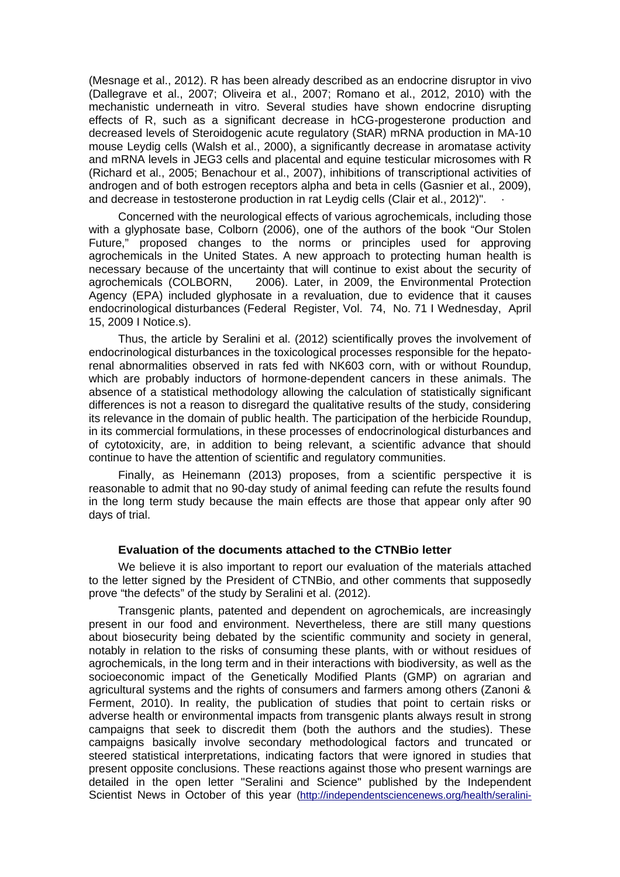(Mesnage et al., 2012). R has been already described as an endocrine disruptor in vivo (Dallegrave et al., 2007; Oliveira et al., 2007; Romano et al., 2012, 2010) with the mechanistic underneath in vitro. Several studies have shown endocrine disrupting effects of R, such as a significant decrease in hCG-progesterone production and decreased levels of Steroidogenic acute regulatory (StAR) mRNA production in MA-10 mouse Leydig cells (Walsh et al., 2000), a significantly decrease in aromatase activity and mRNA levels in JEG3 cells and placental and equine testicular microsomes with R (Richard et al., 2005; Benachour et al., 2007), inhibitions of transcriptional activities of androgen and of both estrogen receptors alpha and beta in cells (Gasnier et al., 2009), and decrease in testosterone production in rat Leydig cells (Clair et al., 2012)".

Concerned with the neurological effects of various agrochemicals, including those with a glyphosate base, Colborn (2006), one of the authors of the book "Our Stolen Future," proposed changes to the norms or principles used for approving agrochemicals in the United States. A new approach to protecting human health is necessary because of the uncertainty that will continue to exist about the security of agrochemicals (COLBORN, 2006). Later, in 2009, the Environmental Protection Agency (EPA) included glyphosate in a revaluation, due to evidence that it causes endocrinological disturbances (Federal Register, Vol. 74, No. 71 I Wednesday, April 15, 2009 I Notice.s).

Thus, the article by Seralini et al. (2012) scientifically proves the involvement of endocrinological disturbances in the toxicological processes responsible for the hepatorenal abnormalities observed in rats fed with NK603 corn, with or without Roundup, which are probably inductors of hormone-dependent cancers in these animals. The absence of a statistical methodology allowing the calculation of statistically significant differences is not a reason to disregard the qualitative results of the study, considering its relevance in the domain of public health. The participation of the herbicide Roundup, in its commercial formulations, in these processes of endocrinological disturbances and of cytotoxicity, are, in addition to being relevant, a scientific advance that should continue to have the attention of scientific and regulatory communities.

Finally, as Heinemann (2013) proposes, from a scientific perspective it is reasonable to admit that no 90-day study of animal feeding can refute the results found in the long term study because the main effects are those that appear only after 90 days of trial.

### **Evaluation of the documents attached to the CTNBio letter**

We believe it is also important to report our evaluation of the materials attached to the letter signed by the President of CTNBio, and other comments that supposedly prove "the defects" of the study by Seralini et al. (2012).

Transgenic plants, patented and dependent on agrochemicals, are increasingly present in our food and environment. Nevertheless, there are still many questions about biosecurity being debated by the scientific community and society in general, notably in relation to the risks of consuming these plants, with or without residues of agrochemicals, in the long term and in their interactions with biodiversity, as well as the socioeconomic impact of the Genetically Modified Plants (GMP) on agrarian and agricultural systems and the rights of consumers and farmers among others (Zanoni & Ferment, 2010). In reality, the publication of studies that point to certain risks or adverse health or environmental impacts from transgenic plants always result in strong campaigns that seek to discredit them (both the authors and the studies). These campaigns basically involve secondary methodological factors and truncated or steered statistical interpretations, indicating factors that were ignored in studies that present opposite conclusions. These reactions against those who present warnings are detailed in the open letter "Seralini and Science" published by the Independent Scientist News in October of this year [\(http://independentsciencenews.org/health/seralini-](http://independentsciencenews.org/health/seralini-and-science)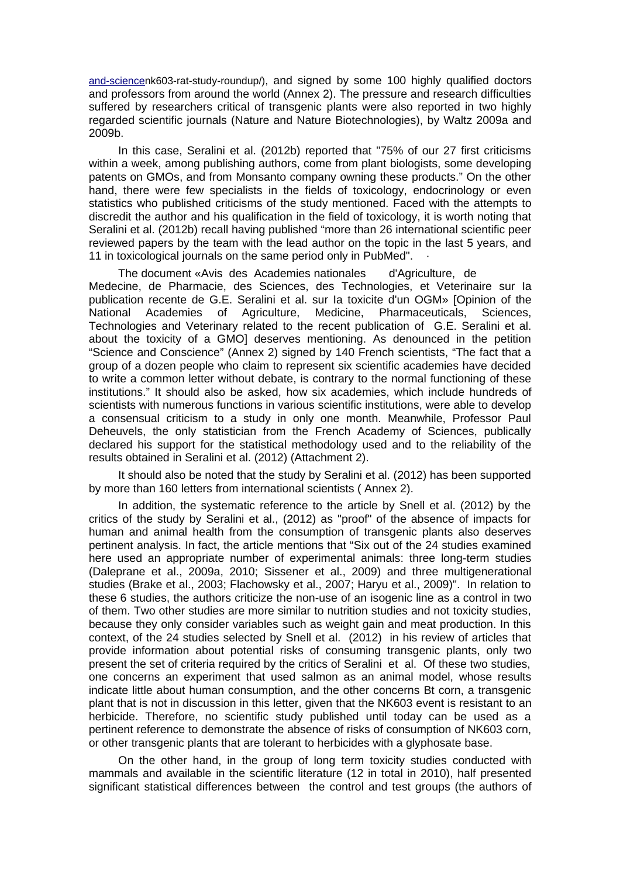[and-sciencen](http://independentsciencenews.org/health/seralini-and-science)k603-rat-study-roundup/), and signed by some 100 highly qualified doctors and professors from around the world (Annex 2). The pressure and research difficulties suffered by researchers critical of transgenic plants were also reported in two highly regarded scientific journals (Nature and Nature Biotechnologies), by Waltz 2009a and 2009b.

In this case, Seralini et al. (2012b) reported that "75% of our 27 first criticisms within a week, among publishing authors, come from plant biologists, some developing patents on GMOs, and from Monsanto company owning these products." On the other hand, there were few specialists in the fields of toxicology, endocrinology or even statistics who published criticisms of the study mentioned. Faced with the attempts to discredit the author and his qualification in the field of toxicology, it is worth noting that Seralini et al. (2012b) recall having published "more than 26 international scientific peer reviewed papers by the team with the lead author on the topic in the last 5 years, and 11 in toxicological journals on the same period only in PubMed".

The document «Avis des Academies nationales d'Agriculture, de Medecine, de Pharmacie, des Sciences, des Technologies, et Veterinaire sur Ia publication recente de G.E. Seralini et al. sur Ia toxicite d'un OGM» [Opinion of the National Academies of Agriculture, Medicine, Pharmaceuticals, Sciences, Technologies and Veterinary related to the recent publication of G.E. Seralini et al. about the toxicity of a GMO] deserves mentioning. As denounced in the petition "Science and Conscience" (Annex 2) signed by 140 French scientists, "The fact that a group of a dozen people who claim to represent six scientific academies have decided to write a common letter without debate, is contrary to the normal functioning of these institutions." It should also be asked, how six academies, which include hundreds of scientists with numerous functions in various scientific institutions, were able to develop a consensual criticism to a study in only one month. Meanwhile, Professor Paul Deheuvels, the only statistician from the French Academy of Sciences, publically declared his support for the statistical methodology used and to the reliability of the results obtained in Seralini et al. (2012) (Attachment 2).

It should also be noted that the study by Seralini et al. (2012) has been supported by more than 160 letters from international scientists ( Annex 2).

In addition, the systematic reference to the article by Snell et al. (2012) by the critics of the study by Seralini et al., (2012) as "proof" of the absence of impacts for human and animal health from the consumption of transgenic plants also deserves pertinent analysis. In fact, the article mentions that "Six out of the 24 studies examined here used an appropriate number of experimental animals: three long-term studies (Daleprane et al., 2009a, 2010; Sissener et al., 2009) and three multigenerational studies (Brake et al., 2003; Flachowsky et al., 2007; Haryu et al., 2009)". In relation to these 6 studies, the authors criticize the non-use of an isogenic line as a control in two of them. Two other studies are more similar to nutrition studies and not toxicity studies, because they only consider variables such as weight gain and meat production. In this context, of the 24 studies selected by Snell et al. (2012) in his review of articles that provide information about potential risks of consuming transgenic plants, only two present the set of criteria required by the critics of Seralini et al. Of these two studies, one concerns an experiment that used salmon as an animal model, whose results indicate little about human consumption, and the other concerns Bt corn, a transgenic plant that is not in discussion in this letter, given that the NK603 event is resistant to an herbicide. Therefore, no scientific study published until today can be used as a pertinent reference to demonstrate the absence of risks of consumption of NK603 corn, or other transgenic plants that are tolerant to herbicides with a glyphosate base.

On the other hand, in the group of long term toxicity studies conducted with mammals and available in the scientific literature (12 in total in 2010), half presented significant statistical differences between the control and test groups (the authors of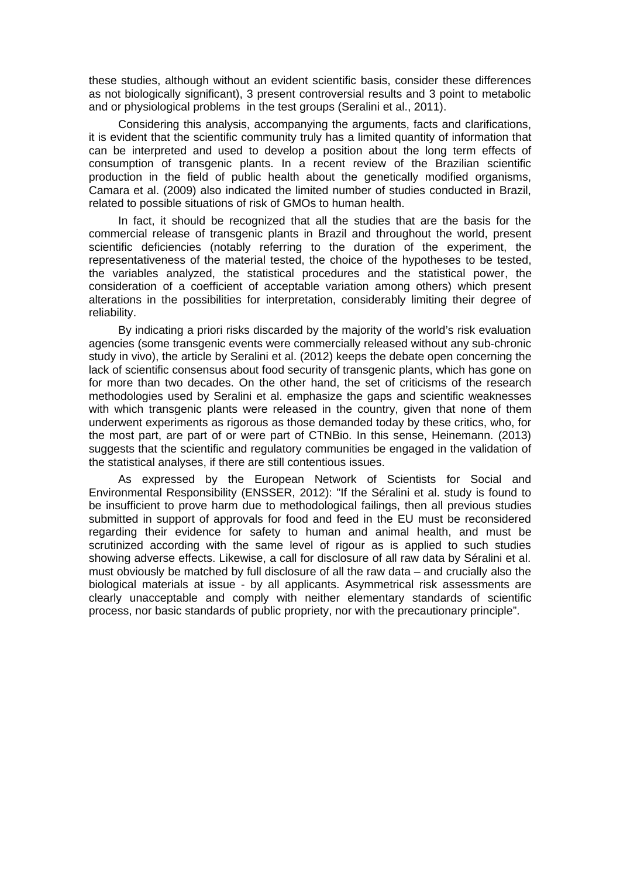these studies, although without an evident scientific basis, consider these differences as not biologically significant), 3 present controversial results and 3 point to metabolic and or physiological problems in the test groups (Seralini et al., 2011).

Considering this analysis, accompanying the arguments, facts and clarifications, it is evident that the scientific community truly has a limited quantity of information that can be interpreted and used to develop a position about the long term effects of consumption of transgenic plants. In a recent review of the Brazilian scientific production in the field of public health about the genetically modified organisms, Camara et al. (2009) also indicated the limited number of studies conducted in Brazil, related to possible situations of risk of GMOs to human health.

In fact, it should be recognized that all the studies that are the basis for the commercial release of transgenic plants in Brazil and throughout the world, present scientific deficiencies (notably referring to the duration of the experiment, the representativeness of the material tested, the choice of the hypotheses to be tested, the variables analyzed, the statistical procedures and the statistical power, the consideration of a coefficient of acceptable variation among others) which present alterations in the possibilities for interpretation, considerably limiting their degree of reliability.

By indicating a priori risks discarded by the majority of the world's risk evaluation agencies (some transgenic events were commercially released without any sub-chronic study in vivo), the article by Seralini et al. (2012) keeps the debate open concerning the lack of scientific consensus about food security of transgenic plants, which has gone on for more than two decades. On the other hand, the set of criticisms of the research methodologies used by Seralini et al. emphasize the gaps and scientific weaknesses with which transgenic plants were released in the country, given that none of them underwent experiments as rigorous as those demanded today by these critics, who, for the most part, are part of or were part of CTNBio. In this sense, Heinemann. (2013) suggests that the scientific and regulatory communities be engaged in the validation of the statistical analyses, if there are still contentious issues.

As expressed by the European Network of Scientists for Social and Environmental Responsibility (ENSSER, 2012): "If the Séralini et al. study is found to be insufficient to prove harm due to methodological failings, then all previous studies submitted in support of approvals for food and feed in the EU must be reconsidered regarding their evidence for safety to human and animal health, and must be scrutinized according with the same level of rigour as is applied to such studies showing adverse effects. Likewise, a call for disclosure of all raw data by Séralini et al. must obviously be matched by full disclosure of all the raw data – and crucially also the biological materials at issue - by all applicants. Asymmetrical risk assessments are clearly unacceptable and comply with neither elementary standards of scientific process, nor basic standards of public propriety, nor with the precautionary principle".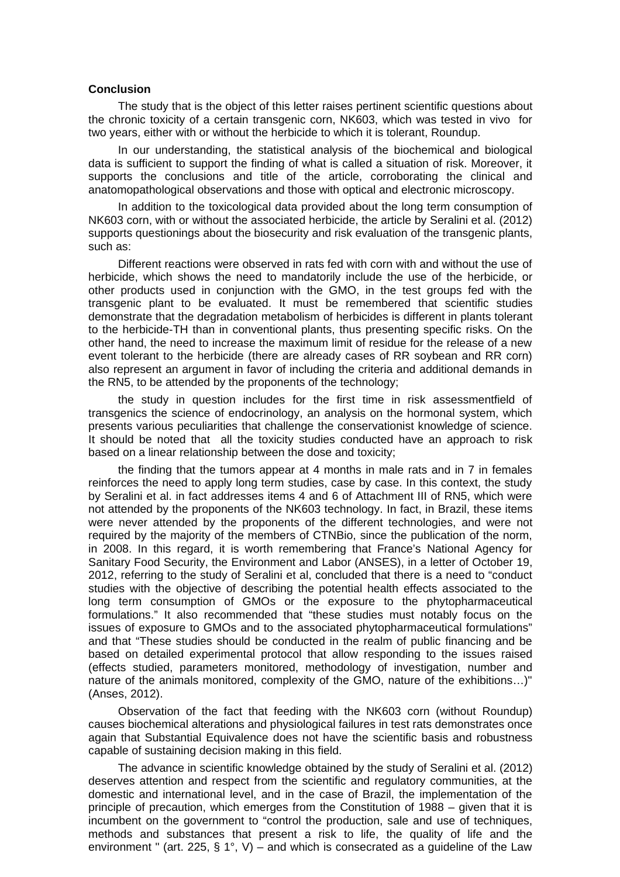### **Conclusion**

The study that is the object of this letter raises pertinent scientific questions about the chronic toxicity of a certain transgenic corn, NK603, which was tested in vivo for two years, either with or without the herbicide to which it is tolerant, Roundup.

In our understanding, the statistical analysis of the biochemical and biological data is sufficient to support the finding of what is called a situation of risk. Moreover, it supports the conclusions and title of the article, corroborating the clinical and anatomopathological observations and those with optical and electronic microscopy.

In addition to the toxicological data provided about the long term consumption of NK603 corn, with or without the associated herbicide, the article by Seralini et al. (2012) supports questionings about the biosecurity and risk evaluation of the transgenic plants, such as:

Different reactions were observed in rats fed with corn with and without the use of herbicide, which shows the need to mandatorily include the use of the herbicide, or other products used in conjunction with the GMO, in the test groups fed with the transgenic plant to be evaluated. It must be remembered that scientific studies demonstrate that the degradation metabolism of herbicides is different in plants tolerant to the herbicide-TH than in conventional plants, thus presenting specific risks. On the other hand, the need to increase the maximum limit of residue for the release of a new event tolerant to the herbicide (there are already cases of RR soybean and RR corn) also represent an argument in favor of including the criteria and additional demands in the RN5, to be attended by the proponents of the technology;

the study in question includes for the first time in risk assessmentfield of transgenics the science of endocrinology, an analysis on the hormonal system, which presents various peculiarities that challenge the conservationist knowledge of science. It should be noted that all the toxicity studies conducted have an approach to risk based on a linear relationship between the dose and toxicity;

the finding that the tumors appear at 4 months in male rats and in 7 in females reinforces the need to apply long term studies, case by case. In this context, the study by Seralini et al. in fact addresses items 4 and 6 of Attachment III of RN5, which were not attended by the proponents of the NK603 technology. In fact, in Brazil, these items were never attended by the proponents of the different technologies, and were not required by the majority of the members of CTNBio, since the publication of the norm, in 2008. In this regard, it is worth remembering that France's National Agency for Sanitary Food Security, the Environment and Labor (ANSES), in a letter of October 19, 2012, referring to the study of Seralini et al, concluded that there is a need to "conduct studies with the objective of describing the potential health effects associated to the long term consumption of GMOs or the exposure to the phytopharmaceutical formulations." It also recommended that "these studies must notably focus on the issues of exposure to GMOs and to the associated phytopharmaceutical formulations" and that "These studies should be conducted in the realm of public financing and be based on detailed experimental protocol that allow responding to the issues raised (effects studied, parameters monitored, methodology of investigation, number and nature of the animals monitored, complexity of the GMO, nature of the exhibitions…)" (Anses, 2012).

Observation of the fact that feeding with the NK603 corn (without Roundup) causes biochemical alterations and physiological failures in test rats demonstrates once again that Substantial Equivalence does not have the scientific basis and robustness capable of sustaining decision making in this field.

The advance in scientific knowledge obtained by the study of Seralini et al. (2012) deserves attention and respect from the scientific and regulatory communities, at the domestic and international level, and in the case of Brazil, the implementation of the principle of precaution, which emerges from the Constitution of 1988 – given that it is incumbent on the government to "control the production, sale and use of techniques, methods and substances that present a risk to life, the quality of life and the environment " (art. 225, § 1°, V) – and which is consecrated as a guideline of the Law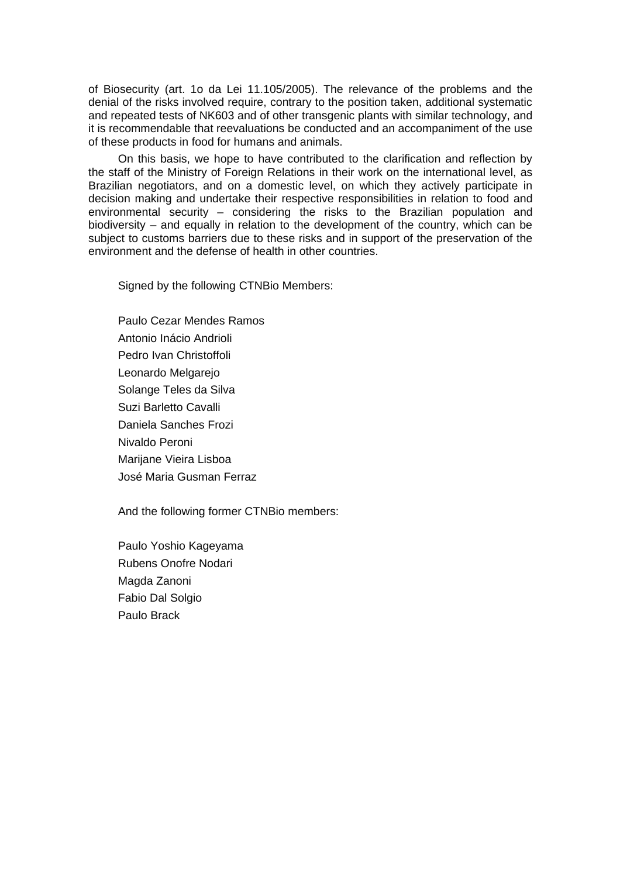of Biosecurity (art. 1o da Lei 11.105/2005). The relevance of the problems and the denial of the risks involved require, contrary to the position taken, additional systematic and repeated tests of NK603 and of other transgenic plants with similar technology, and it is recommendable that reevaluations be conducted and an accompaniment of the use of these products in food for humans and animals.

On this basis, we hope to have contributed to the clarification and reflection by the staff of the Ministry of Foreign Relations in their work on the international level, as Brazilian negotiators, and on a domestic level, on which they actively participate in decision making and undertake their respective responsibilities in relation to food and environmental security – considering the risks to the Brazilian population and biodiversity – and equally in relation to the development of the country, which can be subject to customs barriers due to these risks and in support of the preservation of the environment and the defense of health in other countries.

Signed by the following CTNBio Members:

Paulo Cezar Mendes Ramos Antonio Inácio Andrioli Pedro Ivan Christoffoli Leonardo Melgarejo Solange Teles da Silva Suzi Barletto Cavalli Daniela Sanches Frozi Nivaldo Peroni Marijane Vieira Lisboa José Maria Gusman Ferraz

And the following former CTNBio members:

Paulo Yoshio Kageyama Rubens Onofre Nodari Magda Zanoni Fabio Dal Solgio Paulo Brack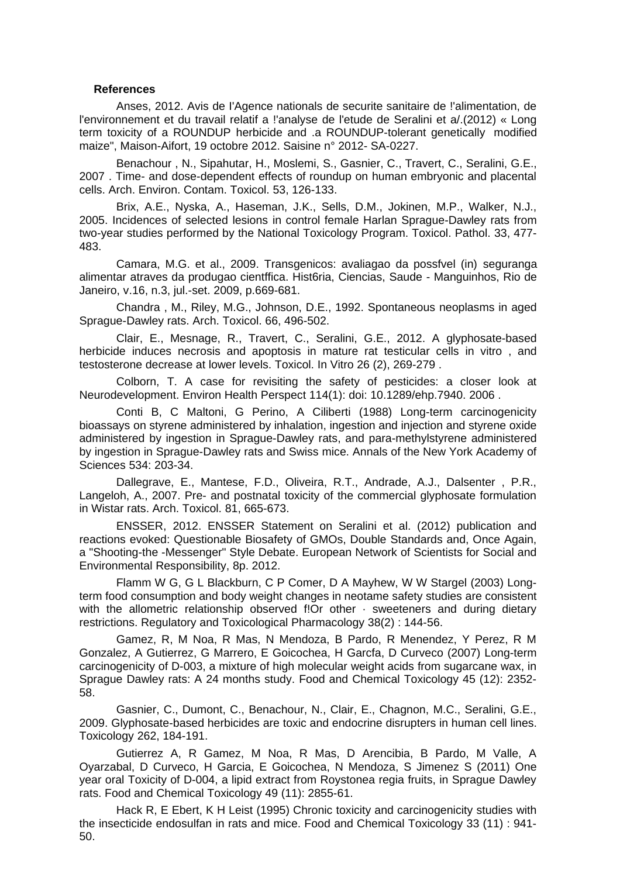#### **References**

Anses, 2012. Avis de I'Agence nationals de securite sanitaire de !'alimentation, de l'environnement et du travail relatif a !'analyse de l'etude de Seralini et a/.(2012) « Long term toxicity of a ROUNDUP herbicide and .a ROUNDUP-tolerant genetically modified maize", Maison-Aifort, 19 octobre 2012. Saisine n° 2012- SA-0227.

Benachour , N., Sipahutar, H., Moslemi, S., Gasnier, C., Travert, C., Seralini, G.E., 2007 . Time- and dose-dependent effects of roundup on human embryonic and placental cells. Arch. Environ. Contam. Toxicol. 53, 126-133.

Brix, A.E., Nyska, A., Haseman, J.K., Sells, D.M., Jokinen, M.P., Walker, N.J., 2005. Incidences of selected lesions in control female Harlan Sprague-Dawley rats from two-year studies performed by the National Toxicology Program. Toxicol. Pathol. 33, 477- 483.

Camara, M.G. et al., 2009. Transgenicos: avaliagao da possfvel (in) seguranga alimentar atraves da produgao cientffica. Hist6ria, Ciencias, Saude - Manguinhos, Rio de Janeiro, v.16, n.3, jul.-set. 2009, p.669-681.

Chandra , M., Riley, M.G., Johnson, D.E., 1992. Spontaneous neoplasms in aged Sprague-Dawley rats. Arch. Toxicol. 66, 496-502.

Clair, E., Mesnage, R., Travert, C., Seralini, G.E., 2012. A glyphosate-based herbicide induces necrosis and apoptosis in mature rat testicular cells in vitro , and testosterone decrease at lower levels. Toxicol. In Vitro 26 (2), 269-279 .

Colborn, T. A case for revisiting the safety of pesticides: a closer look at Neurodevelopment. Environ Health Perspect 114(1): doi: 10.1289/ehp.7940. 2006 .

Conti B, C Maltoni, G Perino, A Ciliberti (1988) Long-term carcinogenicity bioassays on styrene administered by inhalation, ingestion and injection and styrene oxide administered by ingestion in Sprague-Dawley rats, and para-methylstyrene administered by ingestion in Sprague-Dawley rats and Swiss mice. Annals of the New York Academy of Sciences 534: 203-34.

Dallegrave, E., Mantese, F.D., Oliveira, R.T., Andrade, A.J., Dalsenter , P.R., Langeloh, A., 2007. Pre- and postnatal toxicity of the commercial glyphosate formulation in Wistar rats. Arch. Toxicol. 81, 665-673.

ENSSER, 2012. ENSSER Statement on Seralini et al. (2012) publication and reactions evoked: Questionable Biosafety of GMOs, Double Standards and, Once Again, a "Shooting-the -Messenger" Style Debate. European Network of Scientists for Social and Environmental Responsibility, 8p. 2012.

Flamm W G, G L Blackburn, C P Comer, D A Mayhew, W W Stargel (2003) Longterm food consumption and body weight changes in neotame safety studies are consistent with the allometric relationship observed f!Or other  $\cdot$  sweeteners and during dietary restrictions. Regulatory and Toxicological Pharmacology 38(2) : 144-56.

Gamez, R, M Noa, R Mas, N Mendoza, B Pardo, R Menendez, Y Perez, R M Gonzalez, A Gutierrez, G Marrero, E Goicochea, H Garcfa, D Curveco (2007) Long-term carcinogenicity of D-003, a mixture of high molecular weight acids from sugarcane wax, in Sprague Dawley rats: A 24 months study. Food and Chemical Toxicology 45 (12): 2352- 58.

Gasnier, C., Dumont, C., Benachour, N., Clair, E., Chagnon, M.C., Seralini, G.E., 2009. Glyphosate-based herbicides are toxic and endocrine disrupters in human cell lines. Toxicology 262, 184-191.

Gutierrez A, R Gamez, M Noa, R Mas, D Arencibia, B Pardo, M Valle, A Oyarzabal, D Curveco, H Garcia, E Goicochea, N Mendoza, S Jimenez S (2011) One year oral Toxicity of D-004, a lipid extract from Roystonea regia fruits, in Sprague Dawley rats. Food and Chemical Toxicology 49 (11): 2855-61.

Hack R, E Ebert, K H Leist (1995) Chronic toxicity and carcinogenicity studies with the insecticide endosulfan in rats and mice. Food and Chemical Toxicology 33 (11) : 941- 50.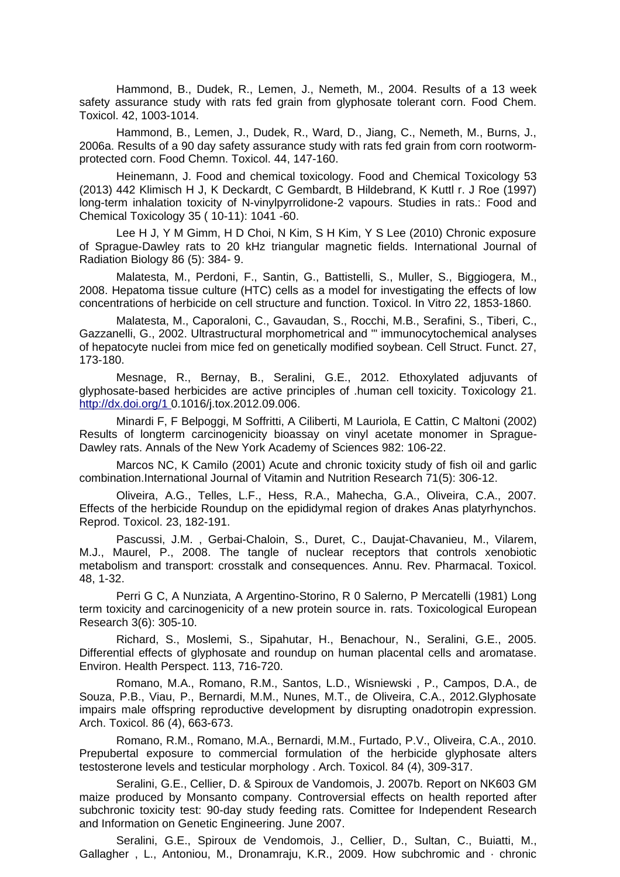Hammond, B., Dudek, R., Lemen, J., Nemeth, M., 2004. Results of a 13 week safety assurance study with rats fed grain from glyphosate tolerant corn. Food Chem. Toxicol. 42, 1003-1014.

Hammond, B., Lemen, J., Dudek, R., Ward, D., Jiang, C., Nemeth, M., Burns, J., 2006a. Results of a 90 day safety assurance study with rats fed grain from corn rootwormprotected corn. Food Chemn. Toxicol. 44, 147-160.

Heinemann, J. Food and chemical toxicology. Food and Chemical Toxicology 53 (2013) 442 Klimisch H J, K Deckardt, C Gembardt, B Hildebrand, K Kuttl r. J Roe (1997) long-term inhalation toxicity of N-vinylpyrrolidone-2 vapours. Studies in rats.: Food and Chemical Toxicology 35 ( 10-11): 1041 -60.

Lee H J, Y M Gimm, H D Choi, N Kim, S H Kim, Y S Lee (2010) Chronic exposure of Sprague-Dawley rats to 20 kHz triangular magnetic fields. International Journal of Radiation Biology 86 (5): 384- 9.

Malatesta, M., Perdoni, F., Santin, G., Battistelli, S., Muller, S., Biggiogera, M., 2008. Hepatoma tissue culture (HTC) cells as a model for investigating the effects of low concentrations of herbicide on cell structure and function. Toxicol. In Vitro 22, 1853-1860.

Malatesta, M., Caporaloni, C., Gavaudan, S., Rocchi, M.B., Serafini, S., Tiberi, C., Gazzanelli, G., 2002. Ultrastructural morphometrical and '" immunocytochemical analyses of hepatocyte nuclei from mice fed on genetically modified soybean. Cell Struct. Funct. 27, 173-180.

Mesnage, R., Bernay, B., Seralini, G.E., 2012. Ethoxylated adjuvants of glyphosate-based herbicides are active principles of .human cell toxicity. Toxicology 21. [http://dx.doi.org/1 0](http://dx.doi.org/1).1016/j.tox.2012.09.006.

Minardi F, F Belpoggi, M Soffritti, A Ciliberti, M Lauriola, E Cattin, C Maltoni (2002) Results of longterm carcinogenicity bioassay on vinyl acetate monomer in Sprague-Dawley rats. Annals of the New York Academy of Sciences 982: 106-22.

Marcos NC, K Camilo (2001) Acute and chronic toxicity study of fish oil and garlic combination.International Journal of Vitamin and Nutrition Research 71(5): 306-12.

Oliveira, A.G., Telles, L.F., Hess, R.A., Mahecha, G.A., Oliveira, C.A., 2007. Effects of the herbicide Roundup on the epididymal region of drakes Anas platyrhynchos. Reprod. Toxicol. 23, 182-191.

Pascussi, J.M. , Gerbai-Chaloin, S., Duret, C., Daujat-Chavanieu, M., Vilarem, M.J., Maurel, P., 2008. The tangle of nuclear receptors that controls xenobiotic metabolism and transport: crosstalk and consequences. Annu. Rev. Pharmacal. Toxicol. 48, 1-32.

Perri G C, A Nunziata, A Argentino-Storino, R 0 Salerno, P Mercatelli (1981) Long term toxicity and carcinogenicity of a new protein source in. rats. Toxicological European Research 3(6): 305-10.

Richard, S., Moslemi, S., Sipahutar, H., Benachour, N., Seralini, G.E., 2005. Differential effects of glyphosate and roundup on human placental cells and aromatase. Environ. Health Perspect. 113, 716-720.

Romano, M.A., Romano, R.M., Santos, L.D., Wisniewski , P., Campos, D.A., de Souza, P.B., Viau, P., Bernardi, M.M., Nunes, M.T., de Oliveira, C.A., 2012.Glyphosate impairs male offspring reproductive development by disrupting onadotropin expression. Arch. Toxicol. 86 (4), 663-673.

Romano, R.M., Romano, M.A., Bernardi, M.M., Furtado, P.V., Oliveira, C.A., 2010. Prepubertal exposure to commercial formulation of the herbicide glyphosate alters testosterone levels and testicular morphology . Arch. Toxicol. 84 (4), 309-317.

Seralini, G.E., Cellier, D. & Spiroux de Vandomois, J. 2007b. Report on NK603 GM maize produced by Monsanto company. Controversial effects on health reported after subchronic toxicity test: 90-day study feeding rats. Comittee for Independent Research and Information on Genetic Engineering. June 2007.

Seralini, G.E., Spiroux de Vendomois, J., Cellier, D., Sultan, C., Buiatti, M., Gallagher , L., Antoniou, M., Dronamraju, K.R., 2009. How subchromic and · chronic